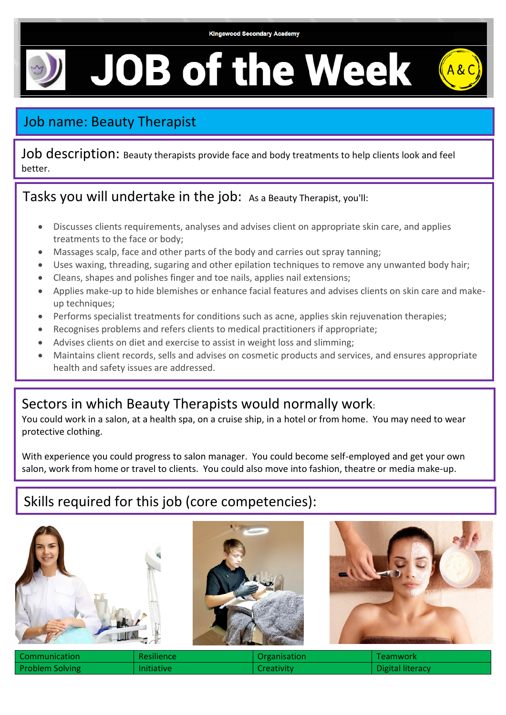# **JOB of the Week**

## Job name: Beauty Therapist

Job description: Beauty therapists provide face and body treatments to help clients look and feel better.

### Tasks you will undertake in the job: As a Beauty Therapist, you'll:

- Discusses clients requirements, analyses and advises client on appropriate skin care, and applies treatments to the face or body;
- Massages scalp, face and other parts of the body and carries out spray tanning;
- Uses waxing, threading, sugaring and other epilation techniques to remove any unwanted body hair;
- Cleans, shapes and polishes finger and toe nails, applies nail extensions;
- Applies make-up to hide blemishes or enhance facial features and advises clients on skin care and makeup techniques;
- Performs specialist treatments for conditions such as acne, applies skin rejuvenation therapies;
- Recognises problems and refers clients to medical practitioners if appropriate;
- Advises clients on diet and exercise to assist in weight loss and slimming;
- Maintains client records, sells and advises on cosmetic products and services, and ensures appropriate health and safety issues are addressed.

### Sectors in which Beauty Therapists would normally work:

You could work in a salon, at a health spa, on a cruise ship, in a hotel or from home. You may need to wear protective clothing.

With experience you could progress to salon manager. You could become self-employed and get your own salon, work from home or travel to clients. You could also move into fashion, theatre or media make-up.

### Skills required for this job (core competencies):







| l Communication | Resilience        | <b>Organisation</b> | Teamwork         |
|-----------------|-------------------|---------------------|------------------|
| Problem Solving | <b>Initiative</b> | Creativity          | Digital literacy |